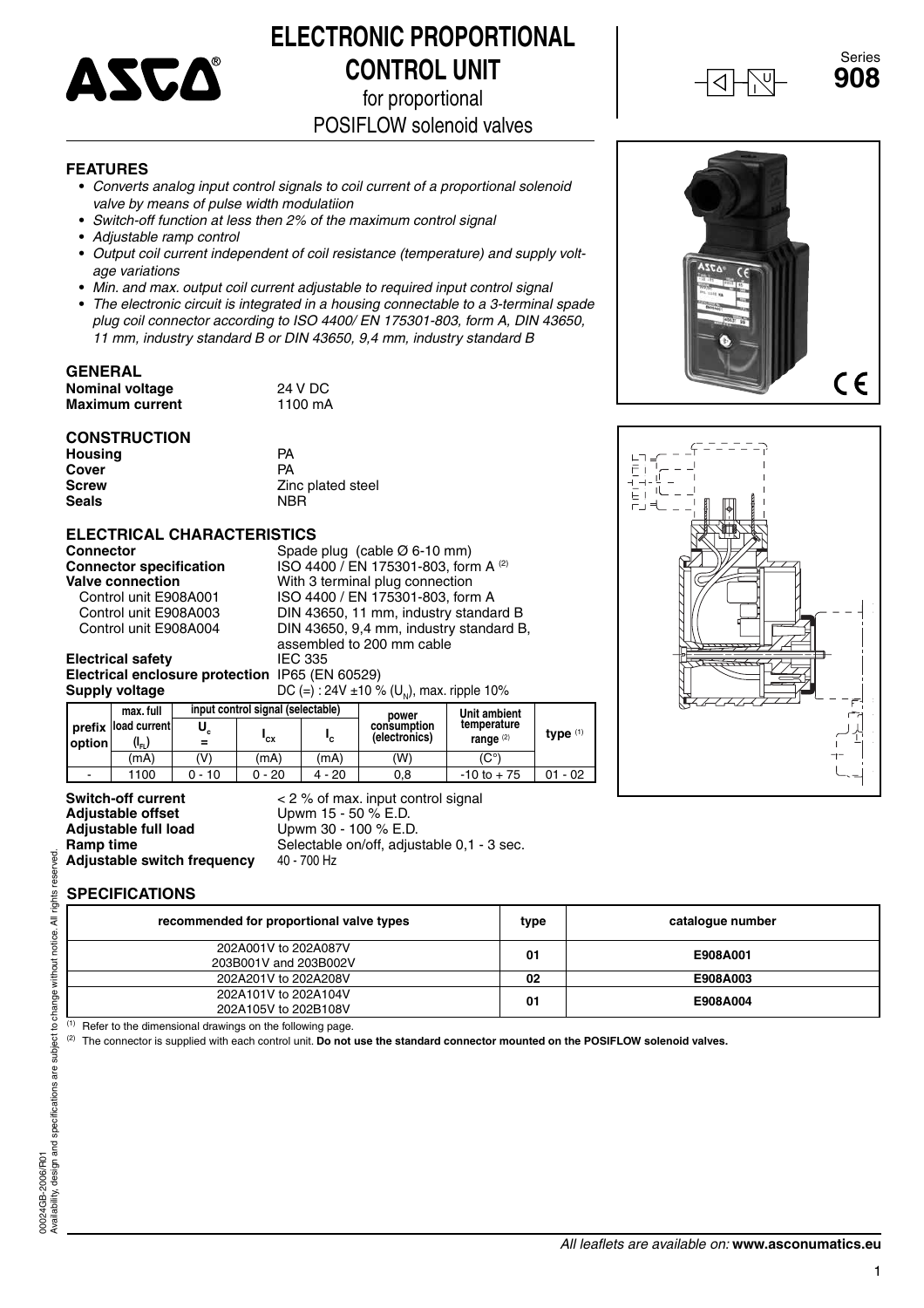

# **ELECTRONIC PROPORTIONAL CONTROL UNIT**

for proportional

POSIFLOW solenoid valves

#### **FEATURES**

- **•** *Converts analog input control signals to coil current of a proportional solenoid valve by means of pulse width modulatiion*
- **•** *Switch-off function at less then 2% of the maximum control signal*
- **•** *Adjustable ramp control*
- **•** *Output coil current independent of coil resistance (temperature) and supply voltage variations*
- **•** *Min. and max. output coil current adjustable to required input control signal*
- **•** *The electronic circuit is integrated in a housing connectable to a 3-terminal spade plug coil connector according to ISO 4400/ EN 175301-803, form A, DIN 43650, 11 mm, industry standard B or DIN 43650, 9,4 mm, industry standard B*

# **GENERAL**

**Nominal voltage**  $24 \text{ V DC}$ **<br>Maximum current 1100 mA Maximum current** 

### **CONSTRUCTION**

**Housing** PA **Cover** PA<br> **Screw** Zin **Seals** 

Zinc plated steel<br>NBR

# **ELECTRICAL CHARACTERISTICS**<br>Connector Spade

**Electrical safety** 

Spade plug (cable Ø 6-10 mm) **Connector specification** ISO 4400 / EN 175301-803, form A <sup>(2)</sup><br>Valve connection With 3 terminal plug connection **alve connection**<br>
Control unit E908A001 **Value 180 4400** / EN 175301-803, forr Control unit E908A001 ISO 4400 / EN 175301-803, form A Control unit E908A003 DIN 43650, 11 mm, industry standard B DIN 43650, 9,4 mm, industry standard B, assembled to 200 mm cable<br>IEC 335 **Electrical enclosure protection** IP65 (EN 60529)<br>**Supply voltage** DC (=): 24V ±10 9 DC (=) : 24V ±10 % (U<sub>N</sub>), max. ripple 10%

|                          | max. full           |        | input control signal (selectable) |        | power         | Unit ambient<br>temperature<br>range $(2)$ | type $(1)$ |
|--------------------------|---------------------|--------|-----------------------------------|--------|---------------|--------------------------------------------|------------|
|                          | prefix load current |        |                                   |        | consumption   |                                            |            |
| option                   | $(I_{\sf FL}$       |        | "cx                               | "c     | (electronics) |                                            |            |
|                          | (mA`                | 'V)    | (mA)                              | (mA)   | (W)           | 'C°)                                       |            |
| $\overline{\phantom{0}}$ | 1100                | 0 - 10 | 0 - 20                            | 4 - 20 | 0,8           | $-10$ to $+75$                             | - 02<br>01 |

# **Adjustable offset** Upwm 15 - 50 % E.D.<br> **Adjustable full load** Upwm 30 - 100 % E.D. **Adjustable switch frequency**

**Switch-off current**  $\leq 2\%$  of max. input control signal **Adjustable offset CO**<br>Upwm 15 - 50 % E.D. Upwm 30 - 100 % E.D. **Ramp time** Selectable on/off, adjustable 0,1 - 3 sec.<br>**Adjustable switch frequency** 40 - 700 Hz

# **SPECIFICATIONS**

| recommended for proportional valve types      | type | catalogue number |
|-----------------------------------------------|------|------------------|
| 202A001V to 202A087V<br>203B001V and 203B002V | 01   | E908A001         |
| 202A201V to 202A208V                          | 02   | E908A003         |
| 202A101V to 202A104V<br>202A105V to 202B108V  | 01   | E908A004         |

(1) Refer to the dimensional drawings on the following page.

(2) The connector is supplied with each control unit. **Do not use the standard connector mounted on the POSIFLOW solenoid valves.**



 $C \in$